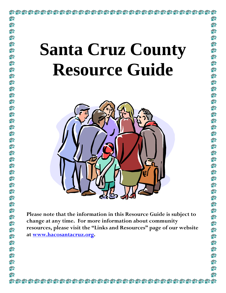# **Santa Cruz County Resource Guide**

合命

合价

ਵੰਨੇ

ea.

合命

ਛੰ∂

命

ea.

ea.

20

ea.

ea.

鈴

fin

40

fin

ea.

ea.

ea.

合命

40

£ੇ

40

ਵੰ∂

ea.

20

合价

ea.

ea.

ea.

命

fin

俞

俞

命

ਵੰਨੇ

ea.

ea.

命

合命

2A



**Please note that the information in this Resource Guide is subject to change at any time. For more information about community resources, please visit the "Links and Resources" page of our website at www.hacosantacruz.org.**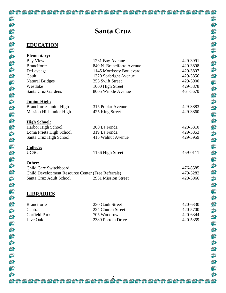## **Santa Cruz**

命

### **EDUCATION**

| 1231 Bay Avenue           |                                                                         |
|---------------------------|-------------------------------------------------------------------------|
|                           | 429-3991                                                                |
| 840 N. Branciforte Avenue | 429-3898                                                                |
| 1145 Morrissey Boulevard  | 429-3807                                                                |
| 1320 Seabright Avenue     | 429-3856                                                                |
| 255 Swift Street          | 429-3900                                                                |
| 1000 High Street          | 429-3878                                                                |
| 8005 Winkle Avenue        | 464-5670                                                                |
|                           |                                                                         |
|                           | 429-3883                                                                |
| 425 King Street           | 429-3860                                                                |
|                           |                                                                         |
| 300 La Fonda              | 429-3810                                                                |
| 319 La Fonda              | 429-3853                                                                |
| 415 Walnut Avenue         | 429-3959                                                                |
|                           |                                                                         |
| 1156 High Street          | 459-0111                                                                |
|                           |                                                                         |
|                           | 476-8585                                                                |
|                           | 479-5282                                                                |
| 2931 Mission Street       | 429-3966                                                                |
|                           |                                                                         |
|                           |                                                                         |
|                           | 315 Poplar Avenue<br>Child Development Resource Center (Free Referrals) |

| <b>Branciforte</b>   | 230 Gault Street   | 420-6330 |
|----------------------|--------------------|----------|
| <b>Central</b>       | 224 Church Street  | 420-5700 |
| <b>Garfield Park</b> | 705 Woodrow        | 420-6344 |
| Live Oak             | 2380 Portola Drive | 420-5359 |

|                                                    | <b>Santa Cruz</b>                    |                      |
|----------------------------------------------------|--------------------------------------|----------------------|
|                                                    |                                      |                      |
| <b>EDUCATION</b>                                   |                                      |                      |
|                                                    |                                      |                      |
| <b>Elementary:</b>                                 |                                      |                      |
| <b>Bay View</b>                                    | 1231 Bay Avenue                      | 429-3991             |
| <b>Branciforte</b>                                 | 840 N. Branciforte Avenue            | 429-3898             |
| DeLaveaga                                          | 1145 Morrissey Boulevard             | 429-3807             |
| Gault                                              | 1320 Seabright Avenue                | 429-3856             |
| <b>Natural Bridges</b><br>Westlake                 | 255 Swift Street<br>1000 High Street | 429-3900<br>429-3878 |
| Santa Cruz Gardens                                 | 8005 Winkle Avenue                   | 464-5670             |
|                                                    |                                      |                      |
| <b>Junior High:</b>                                |                                      |                      |
| <b>Branciforte Junior High</b>                     | 315 Poplar Avenue                    | 429-3883             |
| Mission Hill Junior High                           | 425 King Street                      | 429-3860             |
|                                                    |                                      |                      |
| <b>High School:</b><br>Harbor High School          | 300 La Fonda                         | 429-3810             |
| Loma Prieta High School                            | 319 La Fonda                         | 429-3853             |
| Santa Cruz High School                             | 415 Walnut Avenue                    | 429-3959             |
|                                                    |                                      |                      |
| College:                                           |                                      |                      |
| <b>UCSC</b>                                        | 1156 High Street                     | 459-0111             |
| Other:                                             |                                      |                      |
| Child Care Switchboard                             |                                      | 476-8585             |
| Child Development Resource Center (Free Referrals) |                                      | 479-5282             |
| Santa Cruz Adult School                            | 2931 Mission Street                  | 429-3966             |
|                                                    |                                      |                      |
|                                                    |                                      |                      |
| <b>LIBRARIES</b>                                   |                                      |                      |
| <b>Branciforte</b>                                 | 230 Gault Street                     | 420-6330             |
| Central                                            | 224 Church Street                    | 420-5700             |
| Garfield Park                                      | 705 Woodrow                          | 420-6344             |
| Live Oak                                           | 2380 Portola Drive                   | 420-5359             |
|                                                    |                                      |                      |
|                                                    |                                      |                      |
|                                                    |                                      |                      |
|                                                    |                                      |                      |
|                                                    |                                      |                      |
|                                                    |                                      |                      |
|                                                    |                                      |                      |
|                                                    |                                      |                      |
|                                                    |                                      |                      |
|                                                    |                                      |                      |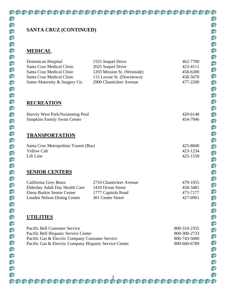### **SANTA CRUZ (CONTINUED)**

#### **MEDICAL**

| Dominican Hospital<br>Santa Cruz Medical Clinic<br>Santa Cruz Medical Clinic<br>Santa Cruz Medical Clinic<br>Sutter Maternity & Surgery Ctr.                                       | 1555 Soquel Drive<br>2025 Soquel Drive<br>1203 Mission St. (Westside)<br>115 Locust St. (Downtown)<br>2900 Chanticleer Avenue | 462-7700<br>423-4111<br>458-6300<br>458-5670<br>477-2200     |
|------------------------------------------------------------------------------------------------------------------------------------------------------------------------------------|-------------------------------------------------------------------------------------------------------------------------------|--------------------------------------------------------------|
| <b>RECREATION</b>                                                                                                                                                                  |                                                                                                                               |                                                              |
| Harvey West Park/Swimming Pool<br><b>Simpkins Family Swim Center</b>                                                                                                               |                                                                                                                               | 420-6140<br>454-7946                                         |
| <b>TRANSPORTATION</b>                                                                                                                                                              |                                                                                                                               |                                                              |
| Santa Cruz Metropolitan Transit (Bus)<br><b>Yellow Cab</b><br>Lift Line                                                                                                            |                                                                                                                               | 425-8600<br>423-1234<br>425-1558                             |
| <b>SENIOR CENTERS</b>                                                                                                                                                              |                                                                                                                               |                                                              |
| California Grey Bears<br><b>Elderday Adult Day Health Care</b><br>Elena Baskin Senior Center<br>Louden Nelson Dining Center                                                        | 2710 Chanticleer Avenue<br>1410 Ocean Street<br>1777 Capitola Road<br>301 Center Street                                       | 479-1055<br>458-3481<br>475-7177<br>427-0901                 |
| UTILITIES                                                                                                                                                                          |                                                                                                                               |                                                              |
| Pacific Bell Customer Service<br>Pacific Bell Hispanic Service Center<br>Pacific Gas & Electric Company Customer Service<br>Pacific Gas & Electric Company Hispanic Service Center |                                                                                                                               | 800-310-2355<br>800-300-2733<br>800-743-5000<br>800-660-6789 |

俞

俞

俞

俞

俞

俞

俞

俞

俞

俞

俞

俞

俞

俞

俞

俞

俞

fû

俞

俞

俞

俞

俞

俞

俞

fû

命

俞

俞

俞

俞

俞

俞

俞

俞

俞

俞

俞

俞

論

命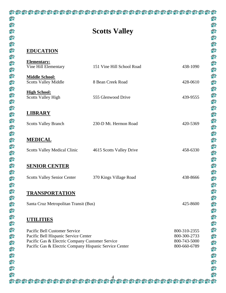俞

俞

俞

俞

俞

俞

俞

俞

命

命

俞

俞

俞

命

俞

俞

俞

俞

俞

俞

命

命

命

俞

俞

命

俞

俞

命

命

俞

俞

俞

命

俞

俞

命

命

命

俞

命

#### **EDUCATION**

| <b>Elementary:</b><br>Vine Hill Elementary                                                                                                                                         | 151 Vine Hill School Road | 438-1090                                                     |
|------------------------------------------------------------------------------------------------------------------------------------------------------------------------------------|---------------------------|--------------------------------------------------------------|
| <b>Middle School:</b><br><b>Scotts Valley Middle</b>                                                                                                                               | 8 Bean Creek Road         | 428-0610                                                     |
| <b>High School:</b><br><b>Scotts Valley High</b>                                                                                                                                   | 555 Glenwood Drive        | 439-9555                                                     |
| <b>LIBRARY</b>                                                                                                                                                                     |                           |                                                              |
| <b>Scotts Valley Branch</b>                                                                                                                                                        | 230-D Mt. Hermon Road     | 420-5369                                                     |
| <b>MEDICAL</b>                                                                                                                                                                     |                           |                                                              |
| <b>Scotts Valley Medical Clinic</b>                                                                                                                                                | 4615 Scotts Valley Drive  | 458-6330                                                     |
| <b>SENIOR CENTER</b>                                                                                                                                                               |                           |                                                              |
| <b>Scotts Valley Senior Center</b>                                                                                                                                                 | 370 Kings Village Road    | 438-8666                                                     |
| <b>TRANSPORTATION</b>                                                                                                                                                              |                           |                                                              |
| Santa Cruz Metropolitan Transit (Bus)                                                                                                                                              |                           | 425-8600                                                     |
| TILITIES                                                                                                                                                                           |                           |                                                              |
| Pacific Bell Customer Service<br>Pacific Bell Hispanic Service Center<br>Pacific Gas & Electric Company Customer Service<br>Pacific Gas & Electric Company Hispanic Service Center |                           | 800-310-2355<br>800-300-2733<br>800-743-5000<br>800-660-6789 |
|                                                                                                                                                                                    |                           |                                                              |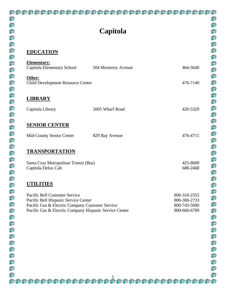### 合 俞 俞 俞 fin 俞 **EDUCATION** 俞 俞 **Elementary:** fin fû **Other:** fin fû fû **LIBRARY** fû fil fû fid 命 俞 俞 俞 fû fû 俞 fû 俞 俞 **UTILITIES** 俞 俞 俞 fû 俞 fû fû 俞 俞 俞 fin fû 俞 俞

# **Capitola**

| <b>Elementary:</b><br>Capitola Elementary School                                                                                                                                   | 504 Monterey Avenue | 464-5640                                                     |
|------------------------------------------------------------------------------------------------------------------------------------------------------------------------------------|---------------------|--------------------------------------------------------------|
| Other:<br><b>Child Development Resource Center</b>                                                                                                                                 |                     | 476-7140                                                     |
| <b>LIBRARY</b>                                                                                                                                                                     |                     |                                                              |
| Capitola Library                                                                                                                                                                   | 2005 Wharf Road     | 420-5329                                                     |
| <b>SENIOR CENTER</b>                                                                                                                                                               |                     |                                                              |
| Mid-County Senior Center                                                                                                                                                           | 829 Bay Avenue      | 476-4711                                                     |
| <b>TRANSPORTATION</b>                                                                                                                                                              |                     |                                                              |
| Santa Cruz Metropolitan Transit (Bus)<br>Capitola Delux Cab                                                                                                                        |                     | 425-8600<br>688-2468                                         |
| <b>UTILITIES</b>                                                                                                                                                                   |                     |                                                              |
| Pacific Bell Customer Service<br>Pacific Bell Hispanic Service Center<br>Pacific Gas & Electric Company Customer Service<br>Pacific Gas & Electric Company Hispanic Service Center |                     | 800-310-2355<br>800-300-2733<br>800-743-5000<br>800-660-6789 |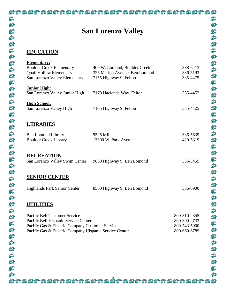# **San Lorenzo Valley**

俞

俞

俞

俞

叠

俞

俞

命

命

俞

俞

俞

俞

俞

俞

俞

俞

俞

俞

俞

俞

命

命

俞

俞

命

俞

俞

俞

命

俞

俞

俞

俞

俞

俞

命

俞

fû

俞

合

### **EDUCATION**

| <b>Elementary:</b><br><b>Boulder Creek Elementary</b>                                                     | 400 W. Lomond, Boulder Creek  | 338-6413                     |
|-----------------------------------------------------------------------------------------------------------|-------------------------------|------------------------------|
| <b>Quail Hollow Elementary</b>                                                                            | 325 Marion Avenue, Ben Lomond | 336-5193                     |
| San Lorenzo Valley Elementary                                                                             | 7155 Highway 9, Felton        | 335-4475                     |
| <b>Junior High:</b>                                                                                       |                               |                              |
| San Lorenzo Valley Junior High                                                                            | 7179 Hacienda Way, Felton     | 335-4452                     |
|                                                                                                           |                               |                              |
| <b>High School:</b><br>San Lorenzo Valley High                                                            | 7105 Highway 9, Felton        | 335-4425                     |
|                                                                                                           |                               |                              |
|                                                                                                           |                               |                              |
| <b>LIBRARIES</b>                                                                                          |                               |                              |
| <b>Ben Lomond Library</b>                                                                                 | 9525 Mill                     | 336-5639                     |
| <b>Boulder Creek Library</b>                                                                              | 13390 W. Park Avenue          | 420-5319                     |
|                                                                                                           |                               |                              |
| <b>RECREATION</b>                                                                                         |                               |                              |
| San Lorenzo Valley Swim Center                                                                            | 9050 Highway 9, Ben Lomond    | 336-3455                     |
|                                                                                                           |                               |                              |
| <b>SENIOR CENTER</b>                                                                                      |                               |                              |
|                                                                                                           |                               |                              |
| Highlands Park Senior Center                                                                              | 8500 Highway 9, Ben Lomond    | 336-8900                     |
|                                                                                                           |                               |                              |
| <b>UTILITIES</b>                                                                                          |                               |                              |
|                                                                                                           |                               |                              |
| Pacific Bell Customer Service                                                                             |                               | 800-310-2355                 |
| Pacific Bell Hispanic Service Center                                                                      |                               | 800-300-2733                 |
| Pacific Gas & Electric Company Customer Service<br>Pacific Gas & Electric Company Hispanic Service Center |                               | 800-743-5000<br>800-660-6789 |
|                                                                                                           |                               |                              |
|                                                                                                           |                               |                              |
|                                                                                                           |                               |                              |
|                                                                                                           |                               |                              |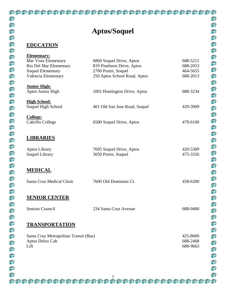# **Aptos/Soquel**

俞

俞

俞

俞

俞

俞

俞

命

命

命

俞

俞

俞

俞

俞

俞

俞

俞

俞

俞

命

命

命

俞

俞

命

俞

俞

俞

命

俞

俞

俞

命

俞

俞

命

fi

命

俞

合

### **EDUCATION**

| <b>Elementary:</b><br>Mar Vista Elementary<br>Rio Del Mar Elementary<br><b>Soquel Elementary</b><br>Valencia Elementary | 6860 Soquel Drive, Aptos<br>819 Pinehurst Drive, Aptos<br>2700 Porter, Soquel<br>250 Aptos School Road, Aptos | 688-5211<br>688-2053<br>464-5655<br>688-2013 |
|-------------------------------------------------------------------------------------------------------------------------|---------------------------------------------------------------------------------------------------------------|----------------------------------------------|
| <b>Junior High:</b><br>Aptos Junior High                                                                                | 1001 Huntington Drive, Aptos                                                                                  | 688-3234                                     |
| <b>High School:</b><br>Soquel High School                                                                               | 401 Old San Jose Road, Soquel                                                                                 | 429-3909                                     |
| <b>College:</b><br>Cabrillo College                                                                                     | 6500 Soquel Drive, Aptos                                                                                      | 479-6100                                     |
| <b>LIBRARIES</b>                                                                                                        |                                                                                                               |                                              |
| <b>Aptos Library</b><br>Soquel Library                                                                                  | 7695 Soquel Drive, Aptos<br>3050 Porter, Soquel                                                               | 420-5309<br>475-3326                         |
| <b>MEDICAL</b>                                                                                                          |                                                                                                               |                                              |
| Santa Cruz Medical Clinic                                                                                               | 7600 Old Dominion Ct.                                                                                         | 458-6200                                     |
| <b>SENIOR CENTER</b>                                                                                                    |                                                                                                               |                                              |
| Seniors Council                                                                                                         | 234 Santa Cruz Avenue                                                                                         | 688-0400                                     |
| <b>TRANSPORTATION</b>                                                                                                   |                                                                                                               |                                              |
| Santa Cruz Metropolitan Transit (Bus)<br>Aptos Delux Cab<br>Lift                                                        |                                                                                                               | 425-8600<br>688-2468<br>688-9663             |
|                                                                                                                         |                                                                                                               |                                              |

7

合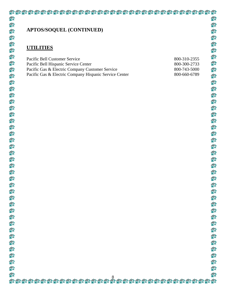### **APTOS/SOQUEL (CONTINUED)**

### **UTILITIES**

| Pacific Bell Customer Service                          | 800-310-2355 |
|--------------------------------------------------------|--------------|
| Pacific Bell Hispanic Service Center                   | 800-300-2733 |
| Pacific Gas & Electric Company Customer Service        | 800-743-5000 |
| Pacific Gas & Electric Company Hispanic Service Center | 800-660-6789 |

命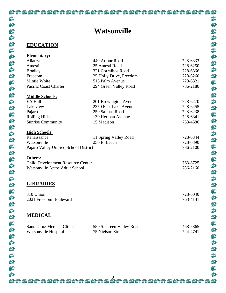### **Watsonville**

俞

俞

俞

俞

命

俞

俞

俞

命

俞

命

俞

俞

命

俞

俞

俞

俞

俞

俞

俞

命

命

俞

俞

命

俞

俞

俞

命

俞

俞

俞

俞

俞

俞

命

俞

命

俞

命

### **EDUCATION**

| <b>Elementary:</b>                    |                          |          |
|---------------------------------------|--------------------------|----------|
| Alianza                               | 440 Arthur Road          | 728-6333 |
| Amesti                                | 25 Amesti Road           | 728-6250 |
| <b>Bradley</b>                        | 321 Corralitos Road      | 728-6366 |
| Freedom                               | 25 Holly Drive, Freedom  | 728-6260 |
| Mintie White                          | 515 Palm Avenue          | 728-6321 |
| Pacific Coast Charter                 | 294 Green Valley Road    | 786-2180 |
|                                       |                          |          |
| <b>Middle Schools:</b>                |                          |          |
| <b>EA Hall</b>                        | 201 Brewington Avenue    | 728-6270 |
| Lakeview                              | 2350 East Lake Avenue    | 728-6455 |
| Pajaro                                | 250 Salinas Road         | 728-6238 |
| <b>Rolling Hills</b>                  | 130 Herman Avenue        | 728-6341 |
| <b>Sunrise Community</b>              | 15 Madison               | 763-4586 |
|                                       |                          |          |
| <b>High Schools:</b>                  |                          |          |
| Renaissance                           | 11 Spring Valley Road    | 728-6344 |
| Watsonville                           | 250 E. Beach             | 728-6390 |
| Pajaro Valley Unified School District |                          | 786-2100 |
|                                       |                          |          |
| Others:                               |                          |          |
| Child Development Resource Center     |                          | 763-8725 |
| Watsonville Aptos Adult School        |                          | 786-2160 |
|                                       |                          |          |
|                                       |                          |          |
| <b>LIBRARIES</b>                      |                          |          |
|                                       |                          |          |
| 310 Union                             |                          | 728-6040 |
| 2021 Freedom Boulevard                |                          | 763-4141 |
|                                       |                          |          |
|                                       |                          |          |
| <b>MEDICAL</b>                        |                          |          |
|                                       |                          |          |
| Santa Cruz Medical Clinic             | 550 S. Green Valley Road | 458-5865 |
| Watsonville Hospital                  | 75 Nielson Street        | 724-4741 |
|                                       |                          |          |
|                                       |                          |          |

合